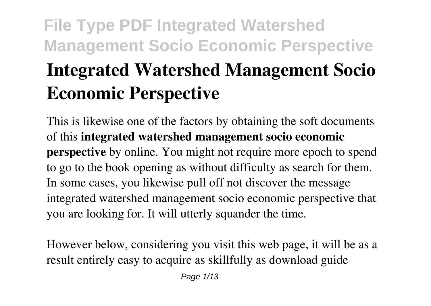# **Integrated Watershed Management Socio Economic Perspective**

This is likewise one of the factors by obtaining the soft documents of this **integrated watershed management socio economic perspective** by online. You might not require more epoch to spend to go to the book opening as without difficulty as search for them. In some cases, you likewise pull off not discover the message integrated watershed management socio economic perspective that you are looking for. It will utterly squander the time.

However below, considering you visit this web page, it will be as a result entirely easy to acquire as skillfully as download guide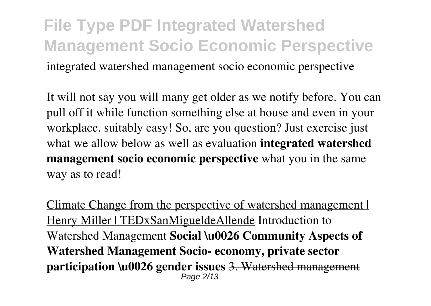### **File Type PDF Integrated Watershed Management Socio Economic Perspective** integrated watershed management socio economic perspective

It will not say you will many get older as we notify before. You can pull off it while function something else at house and even in your workplace. suitably easy! So, are you question? Just exercise just what we allow below as well as evaluation **integrated watershed management socio economic perspective** what you in the same way as to read!

Climate Change from the perspective of watershed management | Henry Miller | TEDxSanMigueldeAllende Introduction to Watershed Management **Social \u0026 Community Aspects of Watershed Management Socio- economy, private sector participation \u0026 gender issues** 3. Watershed management Page 2/13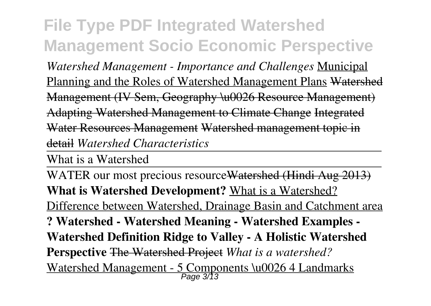*Watershed Management - Importance and Challenges* Municipal Planning and the Roles of Watershed Management Plans Watershed Management (IV Sem, Geography \u0026 Resource Management) Adapting Watershed Management to Climate Change Integrated Water Resources Management Watershed management topic in detail *Watershed Characteristics*

What is a Watershed

WATER our most precious resourceWatershed (Hindi Aug 2013) **What is Watershed Development?** What is a Watershed? Difference between Watershed, Drainage Basin and Catchment area **? Watershed - Watershed Meaning - Watershed Examples - Watershed Definition Ridge to Valley - A Holistic Watershed Perspective** The Watershed Project *What is a watershed?* Watershed Management - 5 Components \u0026 4 Landmarks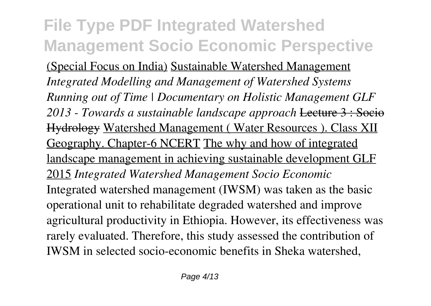(Special Focus on India) Sustainable Watershed Management *Integrated Modelling and Management of Watershed Systems Running out of Time | Documentary on Holistic Management GLF 2013 - Towards a sustainable landscape approach* Lecture 3 : Socio Hydrology Watershed Management ( Water Resources ). Class XII Geography. Chapter-6 NCERT The why and how of integrated landscape management in achieving sustainable development GLF 2015 *Integrated Watershed Management Socio Economic* Integrated watershed management (IWSM) was taken as the basic operational unit to rehabilitate degraded watershed and improve agricultural productivity in Ethiopia. However, its effectiveness was rarely evaluated. Therefore, this study assessed the contribution of IWSM in selected socio-economic benefits in Sheka watershed,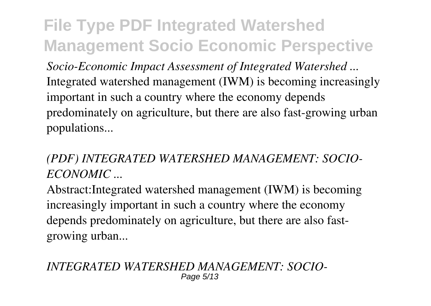*Socio-Economic Impact Assessment of Integrated Watershed ...* Integrated watershed management (IWM) is becoming increasingly important in such a country where the economy depends predominately on agriculture, but there are also fast-growing urban populations...

### *(PDF) INTEGRATED WATERSHED MANAGEMENT: SOCIO-ECONOMIC ...*

Abstract:Integrated watershed management (IWM) is becoming increasingly important in such a country where the economy depends predominately on agriculture, but there are also fastgrowing urban...

*INTEGRATED WATERSHED MANAGEMENT: SOCIO-*Page 5/13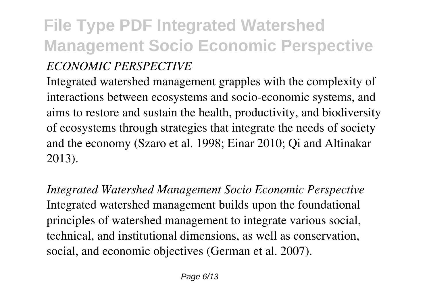### **File Type PDF Integrated Watershed Management Socio Economic Perspective** *ECONOMIC PERSPECTIVE*

Integrated watershed management grapples with the complexity of interactions between ecosystems and socio-economic systems, and aims to restore and sustain the health, productivity, and biodiversity of ecosystems through strategies that integrate the needs of society and the economy (Szaro et al. 1998; Einar 2010; Qi and Altinakar 2013).

*Integrated Watershed Management Socio Economic Perspective* Integrated watershed management builds upon the foundational principles of watershed management to integrate various social, technical, and institutional dimensions, as well as conservation, social, and economic objectives (German et al. 2007).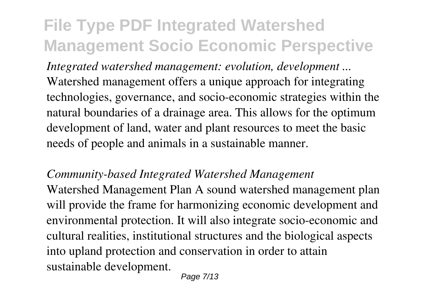*Integrated watershed management: evolution, development ...* Watershed management offers a unique approach for integrating technologies, governance, and socio-economic strategies within the natural boundaries of a drainage area. This allows for the optimum development of land, water and plant resources to meet the basic needs of people and animals in a sustainable manner.

#### *Community-based Integrated Watershed Management*

Watershed Management Plan A sound watershed management plan will provide the frame for harmonizing economic development and environmental protection. It will also integrate socio-economic and cultural realities, institutional structures and the biological aspects into upland protection and conservation in order to attain sustainable development.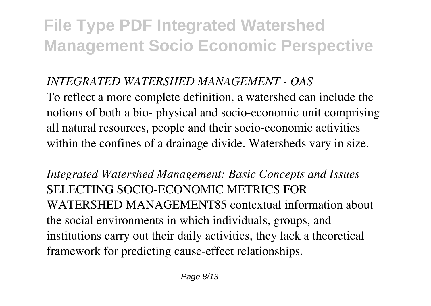### *INTEGRATED WATERSHED MANAGEMENT - OAS*

To reflect a more complete definition, a watershed can include the notions of both a bio- physical and socio-economic unit comprising all natural resources, people and their socio-economic activities within the confines of a drainage divide. Watersheds vary in size.

*Integrated Watershed Management: Basic Concepts and Issues* SELECTING SOCIO-ECONOMIC METRICS FOR WATERSHED MANAGEMENT85 contextual information about the social environments in which individuals, groups, and institutions carry out their daily activities, they lack a theoretical framework for predicting cause-effect relationships.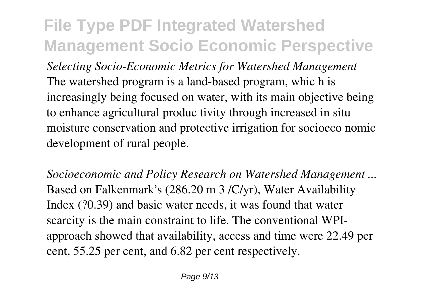*Selecting Socio-Economic Metrics for Watershed Management* The watershed program is a land-based program, whic h is increasingly being focused on water, with its main objective being to enhance agricultural produc tivity through increased in situ moisture conservation and protective irrigation for socioeco nomic development of rural people.

*Socioeconomic and Policy Research on Watershed Management ...* Based on Falkenmark's (286.20 m 3 /C/yr), Water Availability Index (?0.39) and basic water needs, it was found that water scarcity is the main constraint to life. The conventional WPIapproach showed that availability, access and time were 22.49 per cent, 55.25 per cent, and 6.82 per cent respectively.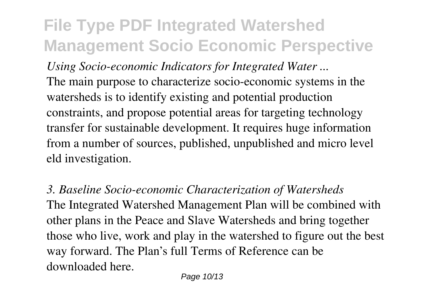*Using Socio-economic Indicators for Integrated Water ...* The main purpose to characterize socio-economic systems in the watersheds is to identify existing and potential production constraints, and propose potential areas for targeting technology transfer for sustainable development. It requires huge information from a number of sources, published, unpublished and micro level eld investigation.

*3. Baseline Socio-economic Characterization of Watersheds* The Integrated Watershed Management Plan will be combined with other plans in the Peace and Slave Watersheds and bring together those who live, work and play in the watershed to figure out the best way forward. The Plan's full Terms of Reference can be downloaded here.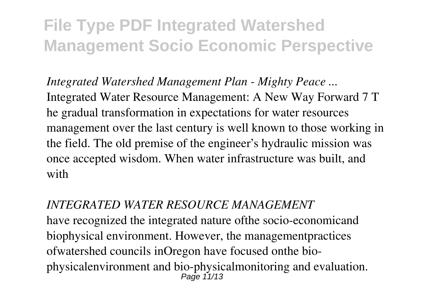*Integrated Watershed Management Plan - Mighty Peace ...* Integrated Water Resource Management: A New Way Forward 7 T he gradual transformation in expectations for water resources management over the last century is well known to those working in the field. The old premise of the engineer's hydraulic mission was once accepted wisdom. When water infrastructure was built, and with

*INTEGRATED WATER RESOURCE MANAGEMENT* have recognized the integrated nature ofthe socio-economicand biophysical environment. However, the managementpractices ofwatershed councils inOregon have focused onthe biophysicalenvironment and bio-physicalmonitoring and evaluation. Page 11/13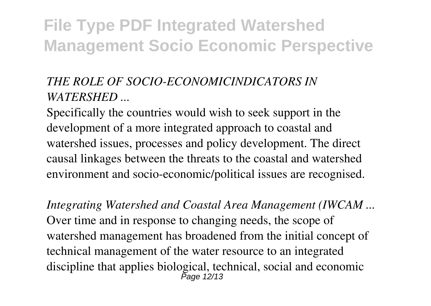### *THE ROLE OF SOCIO-ECONOMICINDICATORS IN WATERSHED ...*

Specifically the countries would wish to seek support in the development of a more integrated approach to coastal and watershed issues, processes and policy development. The direct causal linkages between the threats to the coastal and watershed environment and socio-economic/political issues are recognised.

*Integrating Watershed and Coastal Area Management (IWCAM ...* Over time and in response to changing needs, the scope of watershed management has broadened from the initial concept of technical management of the water resource to an integrated discipline that applies biological, technical, social and economic Page 12/13